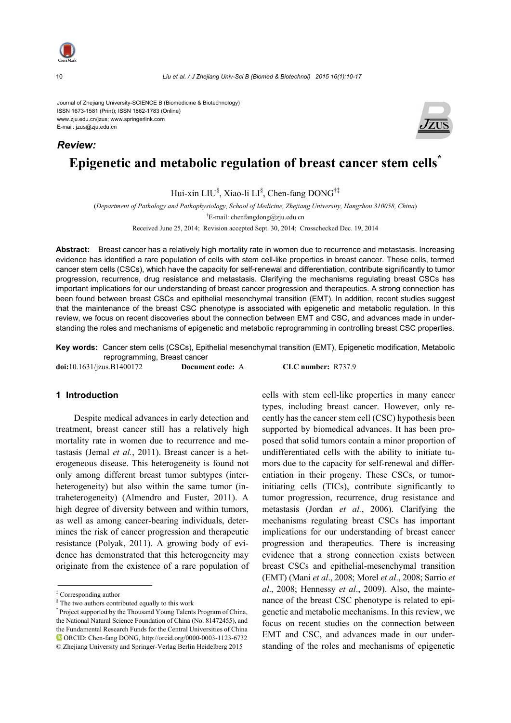

10 *Liu et al. / J Zhejiang Univ-Sci B (Biomed & Biotechnol) 2015 16(1):10-17*

Journal of Zhejiang University-SCIENCE B (Biomedicine & Biotechnology) ISSN 1673-1581 (Print); ISSN 1862-1783 (Online) www.zju.edu.cn/jzus; www.springerlink.com E-mail: jzus@zju.edu.cn

# **Epigenetic and metabolic regulation of breast cancer stem cells\*** *Review:*

Hui-xin LIU<sup>§</sup>, Xiao-li LI<sup>§</sup>, Chen-fang DONG<sup>†‡</sup>

(*Department of Pathology and Pathophysiology, School of Medicine, Zhejiang University, Hangzhou 310058, China*) † E-mail: chenfangdong@zju.edu.cn

Received June 25, 2014; Revision accepted Sept. 30, 2014; Crosschecked Dec. 19, 2014

**Abstract:** Breast cancer has a relatively high mortality rate in women due to recurrence and metastasis. Increasing evidence has identified a rare population of cells with stem cell-like properties in breast cancer. These cells, termed cancer stem cells (CSCs), which have the capacity for self-renewal and differentiation, contribute significantly to tumor progression, recurrence, drug resistance and metastasis. Clarifying the mechanisms regulating breast CSCs has important implications for our understanding of breast cancer progression and therapeutics. A strong connection has been found between breast CSCs and epithelial mesenchymal transition (EMT). In addition, recent studies suggest that the maintenance of the breast CSC phenotype is associated with epigenetic and metabolic regulation. In this review, we focus on recent discoveries about the connection between EMT and CSC, and advances made in understanding the roles and mechanisms of epigenetic and metabolic reprogramming in controlling breast CSC properties.

**Key words:** Cancer stem cells (CSCs), Epithelial mesenchymal transition (EMT), Epigenetic modification, Metabolic reprogramming, Breast cancer

**doi:**10.1631/jzus.B1400172 **Document code:** A **CLC number:** R737.9

#### **1 Introduction**

Despite medical advances in early detection and treatment, breast cancer still has a relatively high mortality rate in women due to recurrence and metastasis (Jemal *et al.*, 2011). Breast cancer is a heterogeneous disease. This heterogeneity is found not only among different breast tumor subtypes (interheterogeneity) but also within the same tumor (intraheterogeneity) (Almendro and Fuster, 2011). A high degree of diversity between and within tumors, as well as among cancer-bearing individuals, determines the risk of cancer progression and therapeutic resistance (Polyak, 2011). A growing body of evidence has demonstrated that this heterogeneity may originate from the existence of a rare population of cells with stem cell-like properties in many cancer types, including breast cancer. However, only recently has the cancer stem cell (CSC) hypothesis been supported by biomedical advances. It has been proposed that solid tumors contain a minor proportion of undifferentiated cells with the ability to initiate tumors due to the capacity for self-renewal and differentiation in their progeny. These CSCs, or tumorinitiating cells (TICs), contribute significantly to tumor progression, recurrence, drug resistance and metastasis (Jordan *et al.*, 2006). Clarifying the mechanisms regulating breast CSCs has important implications for our understanding of breast cancer progression and therapeutics. There is increasing evidence that a strong connection exists between breast CSCs and epithelial-mesenchymal transition (EMT) (Mani *et al*., 2008; Morel *et al*., 2008; Sarrio *et al*., 2008; Hennessy *et al*., 2009). Also, the maintenance of the breast CSC phenotype is related to epigenetic and metabolic mechanisms. In this review, we focus on recent studies on the connection between EMT and CSC, and advances made in our understanding of the roles and mechanisms of epigenetic



<sup>‡</sup> Corresponding author

<sup>§</sup> The two authors contributed equally to this work

<sup>\*</sup> Project supported by the Thousand Young Talents Program of China, the National Natural Science Foundation of China (No. 81472455), and the Fundamental Research Funds for the Central Universities of China ORCID: Chen-fang DONG, http://orcid.org/0000-0003-1123-6732 © Zhejiang University and Springer-Verlag Berlin Heidelberg 2015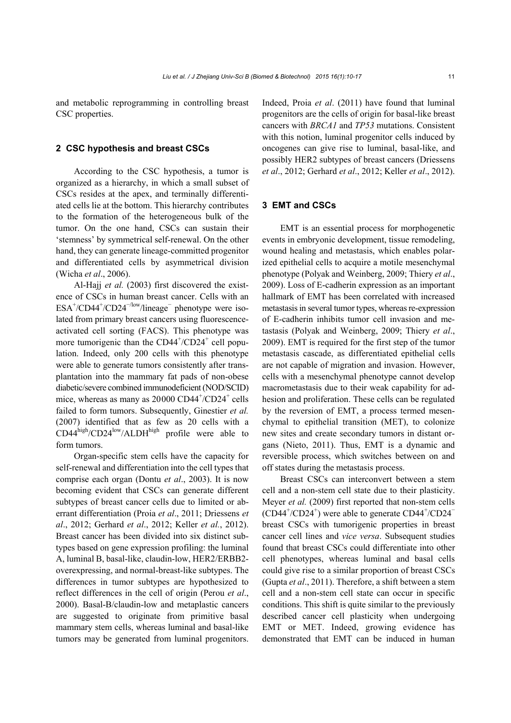and metabolic reprogramming in controlling breast CSC properties.

#### **2 CSC hypothesis and breast CSCs**

According to the CSC hypothesis, a tumor is organized as a hierarchy, in which a small subset of CSCs resides at the apex, and terminally differentiated cells lie at the bottom. This hierarchy contributes to the formation of the heterogeneous bulk of the tumor. On the one hand, CSCs can sustain their 'stemness' by symmetrical self-renewal. On the other hand, they can generate lineage-committed progenitor and differentiated cells by asymmetrical division (Wicha *et al*., 2006).

Al-Hajj *et al.* (2003) first discovered the existence of CSCs in human breast cancer. Cells with an  $ESA^+/CD44^+/CD24^{-/low}/linear$ lineage<sup>–</sup> phenotype were isolated from primary breast cancers using fluorescenceactivated cell sorting (FACS). This phenotype was more tumorigenic than the  $CD44^{\dagger}/CD24^{\dagger}$  cell population. Indeed, only 200 cells with this phenotype were able to generate tumors consistently after transplantation into the mammary fat pads of non-obese diabetic/severe combined immunodeficient (NOD/SCID) mice, whereas as many as  $20000 \text{ CD}44^{\text{+}}/\text{CD}24^{\text{+}}$  cells failed to form tumors. Subsequently, Ginestier *et al.* (2007) identified that as few as 20 cells with a CD44high/CD24low/ALDHhigh profile were able to form tumors.

Organ-specific stem cells have the capacity for self-renewal and differentiation into the cell types that comprise each organ (Dontu *et al*., 2003). It is now becoming evident that CSCs can generate different subtypes of breast cancer cells due to limited or aberrant differentiation (Proia *et al*., 2011; Driessens *et al*., 2012; Gerhard *et al*., 2012; Keller *et al.*, 2012). Breast cancer has been divided into six distinct subtypes based on gene expression profiling: the luminal A, luminal B, basal-like, claudin-low, HER2/ERBB2 overexpressing, and normal-breast-like subtypes. The differences in tumor subtypes are hypothesized to reflect differences in the cell of origin (Perou *et al*., 2000). Basal-B/claudin-low and metaplastic cancers are suggested to originate from primitive basal mammary stem cells, whereas luminal and basal-like tumors may be generated from luminal progenitors.

Indeed, Proia *et al*. (2011) have found that luminal progenitors are the cells of origin for basal-like breast cancers with *BRCA1* and *TP53* mutations. Consistent with this notion, luminal progenitor cells induced by oncogenes can give rise to luminal, basal-like, and possibly HER2 subtypes of breast cancers (Driessens *et al*., 2012; Gerhard *et al*., 2012; Keller *et al*., 2012).

### **3 EMT and CSCs**

EMT is an essential process for morphogenetic events in embryonic development, tissue remodeling, wound healing and metastasis, which enables polarized epithelial cells to acquire a motile mesenchymal phenotype (Polyak and Weinberg, 2009; Thiery *et al*., 2009). Loss of E-cadherin expression as an important hallmark of EMT has been correlated with increased metastasis in several tumor types, whereas re-expression of E-cadherin inhibits tumor cell invasion and metastasis (Polyak and Weinberg, 2009; Thiery *et al*., 2009). EMT is required for the first step of the tumor metastasis cascade, as differentiated epithelial cells are not capable of migration and invasion. However, cells with a mesenchymal phenotype cannot develop macrometastasis due to their weak capability for adhesion and proliferation. These cells can be regulated by the reversion of EMT, a process termed mesenchymal to epithelial transition (MET), to colonize new sites and create secondary tumors in distant organs (Nieto, 2011). Thus, EMT is a dynamic and reversible process, which switches between on and off states during the metastasis process.

Breast CSCs can interconvert between a stem cell and a non-stem cell state due to their plasticity. Meyer *et al.* (2009) first reported that non-stem cells (CD44<sup>+</sup>/CD24<sup>+</sup>) were able to generate CD44<sup>+</sup>/CD24<sup>-</sup> breast CSCs with tumorigenic properties in breast cancer cell lines and *vice versa*. Subsequent studies found that breast CSCs could differentiate into other cell phenotypes, whereas luminal and basal cells could give rise to a similar proportion of breast CSCs (Gupta *et al*., 2011). Therefore, a shift between a stem cell and a non-stem cell state can occur in specific conditions. This shift is quite similar to the previously described cancer cell plasticity when undergoing EMT or MET. Indeed, growing evidence has demonstrated that EMT can be induced in human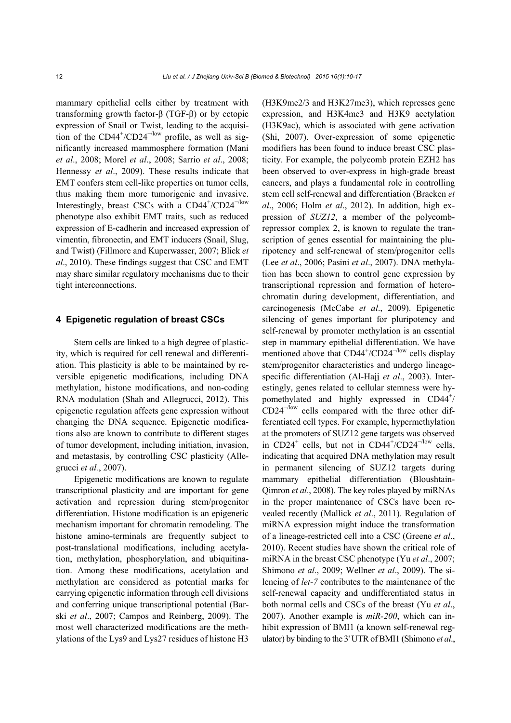mammary epithelial cells either by treatment with transforming growth factor-β (TGF-β) or by ectopic expression of Snail or Twist, leading to the acquisition of the  $CD44^{\degree}/CD24^{-/low}$  profile, as well as significantly increased mammosphere formation (Mani *et al*., 2008; Morel *et al*., 2008; Sarrio *et al*., 2008; Hennessy *et al*., 2009). These results indicate that EMT confers stem cell-like properties on tumor cells, thus making them more tumorigenic and invasive. Interestingly, breast CSCs with a CD44<sup>+</sup>/CD24<sup>-/low</sup> phenotype also exhibit EMT traits, such as reduced expression of E-cadherin and increased expression of vimentin, fibronectin, and EMT inducers (Snail, Slug, and Twist) (Fillmore and Kuperwasser, 2007; Blick *et al*., 2010). These findings suggest that CSC and EMT may share similar regulatory mechanisms due to their tight interconnections.

#### **4 Epigenetic regulation of breast CSCs**

Stem cells are linked to a high degree of plasticity, which is required for cell renewal and differentiation. This plasticity is able to be maintained by reversible epigenetic modifications, including DNA methylation, histone modifications, and non-coding RNA modulation (Shah and Allegrucci, 2012). This epigenetic regulation affects gene expression without changing the DNA sequence. Epigenetic modifications also are known to contribute to different stages of tumor development, including initiation, invasion, and metastasis, by controlling CSC plasticity (Allegrucci *et al.*, 2007).

Epigenetic modifications are known to regulate transcriptional plasticity and are important for gene activation and repression during stem/progenitor differentiation. Histone modification is an epigenetic mechanism important for chromatin remodeling. The histone amino-terminals are frequently subject to post-translational modifications, including acetylation, methylation, phosphorylation, and ubiquitination. Among these modifications, acetylation and methylation are considered as potential marks for carrying epigenetic information through cell divisions and conferring unique transcriptional potential (Barski *et al*., 2007; Campos and Reinberg, 2009). The most well characterized modifications are the methylations of the Lys9 and Lys27 residues of histone H3

(H3K9me2/3 and H3K27me3), which represses gene expression, and H3K4me3 and H3K9 acetylation (H3K9ac), which is associated with gene activation (Shi, 2007). Over-expression of some epigenetic modifiers has been found to induce breast CSC plasticity. For example, the polycomb protein EZH2 has been observed to over-express in high-grade breast cancers, and plays a fundamental role in controlling stem cell self-renewal and differentiation (Bracken *et al*., 2006; Holm *et al*., 2012). In addition, high expression of *SUZ12*, a member of the polycombrepressor complex 2, is known to regulate the transcription of genes essential for maintaining the pluripotency and self-renewal of stem/progenitor cells (Lee *et al*., 2006; Pasini *et al*., 2007). DNA methylation has been shown to control gene expression by transcriptional repression and formation of heterochromatin during development, differentiation, and carcinogenesis (McCabe *et al*., 2009). Epigenetic silencing of genes important for pluripotency and self-renewal by promoter methylation is an essential step in mammary epithelial differentiation. We have mentioned above that  $CD44^{\degree}/CD24^{-/low}$  cells display stem/progenitor characteristics and undergo lineagespecific differentiation (Al-Hajj *et al*., 2003). Interestingly, genes related to cellular stemness were hypomethylated and highly expressed in CD44<sup>+</sup>/ CD24<sup>−</sup>/low cells compared with the three other differentiated cell types. For example, hypermethylation at the promoters of SUZ12 gene targets was observed in  $CD24^+$  cells, but not in  $CD44^+$ /CD24<sup>-/low</sup> cells, indicating that acquired DNA methylation may result in permanent silencing of SUZ12 targets during mammary epithelial differentiation (Bloushtain-Qimron *et al*., 2008). The key roles played by miRNAs in the proper maintenance of CSCs have been revealed recently (Mallick *et al*., 2011). Regulation of miRNA expression might induce the transformation of a lineage-restricted cell into a CSC (Greene *et al*., 2010). Recent studies have shown the critical role of miRNA in the breast CSC phenotype (Yu *et al*., 2007; Shimono *et al*., 2009; Wellner *et al*., 2009). The silencing of *let-7* contributes to the maintenance of the self-renewal capacity and undifferentiated status in both normal cells and CSCs of the breast (Yu *et al*., 2007). Another example is *miR-200*, which can inhibit expression of BMI1 (a known self-renewal regulator) by binding to the 3' UTR of BMI1 (Shimono *et al*.,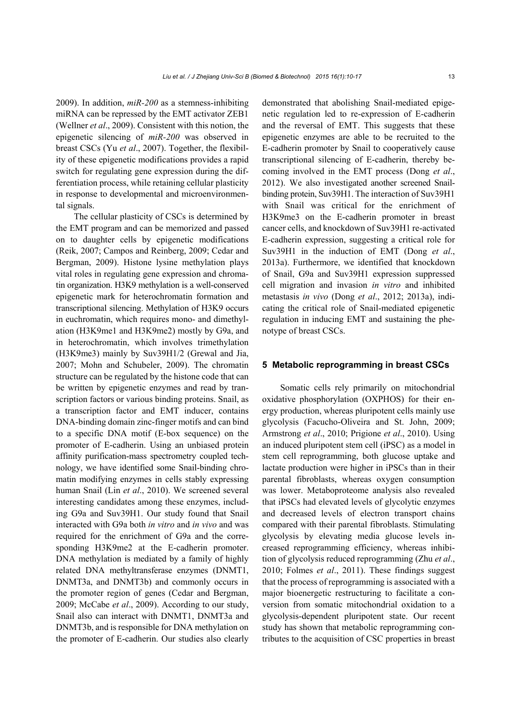2009). In addition, *miR-200* as a stemness-inhibiting miRNA can be repressed by the EMT activator ZEB1 (Wellner *et al*., 2009). Consistent with this notion, the epigenetic silencing of *miR-200* was observed in breast CSCs (Yu *et al*., 2007). Together, the flexibility of these epigenetic modifications provides a rapid switch for regulating gene expression during the differentiation process, while retaining cellular plasticity in response to developmental and microenvironmental signals.

The cellular plasticity of CSCs is determined by the EMT program and can be memorized and passed on to daughter cells by epigenetic modifications (Reik, 2007; Campos and Reinberg, 2009; Cedar and Bergman, 2009). Histone lysine methylation plays vital roles in regulating gene expression and chromatin organization. H3K9 methylation is a well-conserved epigenetic mark for heterochromatin formation and transcriptional silencing. Methylation of H3K9 occurs in euchromatin, which requires mono- and dimethylation (H3K9me1 and H3K9me2) mostly by G9a, and in heterochromatin, which involves trimethylation (H3K9me3) mainly by Suv39H1/2 (Grewal and Jia, 2007; Mohn and Schubeler, 2009). The chromatin structure can be regulated by the histone code that can be written by epigenetic enzymes and read by transcription factors or various binding proteins. Snail, as a transcription factor and EMT inducer, contains DNA-binding domain zinc-finger motifs and can bind to a specific DNA motif (E-box sequence) on the promoter of E-cadherin. Using an unbiased protein affinity purification-mass spectrometry coupled technology, we have identified some Snail-binding chromatin modifying enzymes in cells stably expressing human Snail (Lin *et al*., 2010). We screened several interesting candidates among these enzymes, including G9a and Suv39H1. Our study found that Snail interacted with G9a both *in vitro* and *in vivo* and was required for the enrichment of G9a and the corresponding H3K9me2 at the E-cadherin promoter. DNA methylation is mediated by a family of highly related DNA methyltransferase enzymes (DNMT1, DNMT3a, and DNMT3b) and commonly occurs in the promoter region of genes (Cedar and Bergman, 2009; McCabe *et al*., 2009). According to our study, Snail also can interact with DNMT1, DNMT3a and DNMT3b, and is responsible for DNA methylation on the promoter of E-cadherin. Our studies also clearly

demonstrated that abolishing Snail-mediated epigenetic regulation led to re-expression of E-cadherin and the reversal of EMT. This suggests that these epigenetic enzymes are able to be recruited to the E-cadherin promoter by Snail to cooperatively cause transcriptional silencing of E-cadherin, thereby becoming involved in the EMT process (Dong *et al*., 2012). We also investigated another screened Snailbinding protein, Suv39H1. The interaction of Suv39H1 with Snail was critical for the enrichment of H3K9me3 on the E-cadherin promoter in breast cancer cells, and knockdown of Suv39H1 re-activated E-cadherin expression, suggesting a critical role for Suv39H1 in the induction of EMT (Dong *et al*., 2013a). Furthermore, we identified that knockdown of Snail, G9a and Suv39H1 expression suppressed cell migration and invasion *in vitro* and inhibited metastasis *in vivo* (Dong *et al*., 2012; 2013a), indicating the critical role of Snail-mediated epigenetic regulation in inducing EMT and sustaining the phenotype of breast CSCs.

#### **5 Metabolic reprogramming in breast CSCs**

Somatic cells rely primarily on mitochondrial oxidative phosphorylation (OXPHOS) for their energy production, whereas pluripotent cells mainly use glycolysis (Facucho-Oliveira and St. John, 2009; Armstrong *et al*., 2010; Prigione *et al*., 2010). Using an induced pluripotent stem cell (iPSC) as a model in stem cell reprogramming, both glucose uptake and lactate production were higher in iPSCs than in their parental fibroblasts, whereas oxygen consumption was lower. Metaboproteome analysis also revealed that iPSCs had elevated levels of glycolytic enzymes and decreased levels of electron transport chains compared with their parental fibroblasts. Stimulating glycolysis by elevating media glucose levels increased reprogramming efficiency, whereas inhibition of glycolysis reduced reprogramming (Zhu *et al*., 2010; Folmes *et al*., 2011). These findings suggest that the process of reprogramming is associated with a major bioenergetic restructuring to facilitate a conversion from somatic mitochondrial oxidation to a glycolysis-dependent pluripotent state. Our recent study has shown that metabolic reprogramming contributes to the acquisition of CSC properties in breast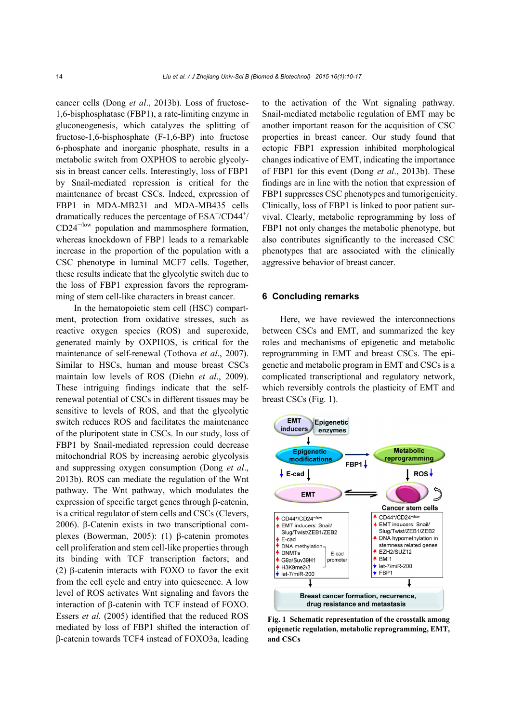cancer cells (Dong *et al*., 2013b). Loss of fructose-1,6-bisphosphatase (FBP1), a rate-limiting enzyme in gluconeogenesis, which catalyzes the splitting of fructose-1,6-bisphosphate (F-1,6-BP) into fructose 6-phosphate and inorganic phosphate, results in a metabolic switch from OXPHOS to aerobic glycolysis in breast cancer cells. Interestingly, loss of FBP1 by Snail-mediated repression is critical for the maintenance of breast CSCs. Indeed, expression of FBP1 in MDA-MB231 and MDA-MB435 cells dramatically reduces the percentage of  $ESA^+/CD44^+$ /  $CD24^{-/low}$  population and mammosphere formation, whereas knockdown of FBP1 leads to a remarkable increase in the proportion of the population with a CSC phenotype in luminal MCF7 cells. Together, these results indicate that the glycolytic switch due to the loss of FBP1 expression favors the reprogramming of stem cell-like characters in breast cancer.

In the hematopoietic stem cell (HSC) compartment, protection from oxidative stresses, such as reactive oxygen species (ROS) and superoxide, generated mainly by OXPHOS, is critical for the maintenance of self-renewal (Tothova *et al*., 2007). Similar to HSCs, human and mouse breast CSCs maintain low levels of ROS (Diehn *et al*., 2009). These intriguing findings indicate that the selfrenewal potential of CSCs in different tissues may be sensitive to levels of ROS, and that the glycolytic switch reduces ROS and facilitates the maintenance of the pluripotent state in CSCs. In our study, loss of FBP1 by Snail-mediated repression could decrease mitochondrial ROS by increasing aerobic glycolysis and suppressing oxygen consumption (Dong *et al*., 2013b). ROS can mediate the regulation of the Wnt pathway. The Wnt pathway, which modulates the expression of specific target genes through β-catenin, is a critical regulator of stem cells and CSCs (Clevers, 2006). β-Catenin exists in two transcriptional complexes (Bowerman, 2005): (1) β-catenin promotes cell proliferation and stem cell-like properties through its binding with TCF transcription factors; and (2) β-catenin interacts with FOXO to favor the exit from the cell cycle and entry into quiescence. A low level of ROS activates Wnt signaling and favors the interaction of β-catenin with TCF instead of FOXO. Essers *et al.* (2005) identified that the reduced ROS mediated by loss of FBP1 shifted the interaction of β-catenin towards TCF4 instead of FOXO3a, leading to the activation of the Wnt signaling pathway. Snail-mediated metabolic regulation of EMT may be another important reason for the acquisition of CSC properties in breast cancer. Our study found that ectopic FBP1 expression inhibited morphological changes indicative of EMT, indicating the importance of FBP1 for this event (Dong *et al*., 2013b). These findings are in line with the notion that expression of FBP1 suppresses CSC phenotypes and tumorigenicity. Clinically, loss of FBP1 is linked to poor patient survival. Clearly, metabolic reprogramming by loss of FBP1 not only changes the metabolic phenotype, but also contributes significantly to the increased CSC phenotypes that are associated with the clinically aggressive behavior of breast cancer.

#### **6 Concluding remarks**

Here, we have reviewed the interconnections between CSCs and EMT, and summarized the key roles and mechanisms of epigenetic and metabolic reprogramming in EMT and breast CSCs. The epigenetic and metabolic program in EMT and CSCs is a complicated transcriptional and regulatory network, which reversibly controls the plasticity of EMT and breast CSCs (Fig. 1).



**Fig. 1 Schematic representation of the crosstalk among epigenetic regulation, metabolic reprogramming, EMT, and CSCs**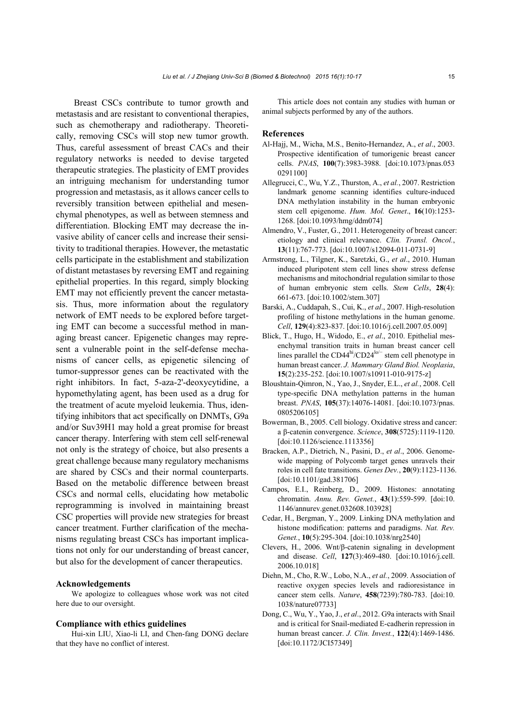Breast CSCs contribute to tumor growth and metastasis and are resistant to conventional therapies, such as chemotherapy and radiotherapy. Theoretically, removing CSCs will stop new tumor growth. Thus, careful assessment of breast CACs and their regulatory networks is needed to devise targeted therapeutic strategies. The plasticity of EMT provides an intriguing mechanism for understanding tumor progression and metastasis, as it allows cancer cells to reversibly transition between epithelial and mesenchymal phenotypes, as well as between stemness and differentiation. Blocking EMT may decrease the invasive ability of cancer cells and increase their sensitivity to traditional therapies. However, the metastatic cells participate in the establishment and stabilization of distant metastases by reversing EMT and regaining epithelial properties. In this regard, simply blocking EMT may not efficiently prevent the cancer metastasis. Thus, more information about the regulatory network of EMT needs to be explored before targeting EMT can become a successful method in managing breast cancer. Epigenetic changes may represent a vulnerable point in the self-defense mechanisms of cancer cells, as epigenetic silencing of tumor-suppressor genes can be reactivated with the right inhibitors. In fact, 5-aza-2'-deoxycytidine, a hypomethylating agent, has been used as a drug for the treatment of acute myeloid leukemia. Thus, identifying inhibitors that act specifically on DNMTs, G9a and/or Suv39H1 may hold a great promise for breast cancer therapy. Interfering with stem cell self-renewal not only is the strategy of choice, but also presents a great challenge because many regulatory mechanisms are shared by CSCs and their normal counterparts. Based on the metabolic difference between breast CSCs and normal cells, elucidating how metabolic reprogramming is involved in maintaining breast CSC properties will provide new strategies for breast cancer treatment. Further clarification of the mechanisms regulating breast CSCs has important implications not only for our understanding of breast cancer, but also for the development of cancer therapeutics.

#### **Acknowledgements**

We apologize to colleagues whose work was not cited here due to our oversight.

#### **Compliance with ethics guidelines**

Hui-xin LIU, Xiao-li LI, and Chen-fang DONG declare that they have no conflict of interest.

This article does not contain any studies with human or animal subjects performed by any of the authors.

#### **References**

- Al-Hajj, M., Wicha, M.S., Benito-Hernandez, A., *et al*., 2003. Prospective identification of tumorigenic breast cancer cells. *PNAS*, **100**(7):3983-3988. [doi:10.1073/pnas.053 0291100]
- Allegrucci, C., Wu, Y.Z., Thurston, A., *et al.*, 2007. Restriction landmark genome scanning identifies culture-induced DNA methylation instability in the human embryonic stem cell epigenome. *Hum. Mol. Genet*., **16**(10):1253- 1268. [doi:10.1093/hmg/ddm074]
- Almendro, V., Fuster, G., 2011. Heterogeneity of breast cancer: etiology and clinical relevance. *Clin. Transl. Oncol.*, **13**(11):767-773. [doi:10.1007/s12094-011-0731-9]
- Armstrong, L., Tilgner, K., Saretzki, G., *et al*., 2010. Human induced pluripotent stem cell lines show stress defense mechanisms and mitochondrial regulation similar to those of human embryonic stem cells. *Stem Cells*, **28**(4): 661-673. [doi:10.1002/stem.307]
- Barski, A., Cuddapah, S., Cui, K., *et al*., 2007. High-resolution profiling of histone methylations in the human genome. *Cell*, **129**(4):823-837. [doi:10.1016/j.cell.2007.05.009]
- Blick, T., Hugo, H., Widodo, E., *et al*., 2010. Epithelial mesenchymal transition traits in human breast cancer cell lines parallel the  $CD44<sup>hi</sup>/CD24<sup>lo/-</sup>$  stem cell phenotype in human breast cancer. *J. Mammary Gland Biol. Neoplasia*, **15**(2):235-252. [doi:10.1007/s10911-010-9175-z]
- Bloushtain-Qimron, N., Yao, J., Snyder, E.L., *et al.*, 2008. Cell type-specific DNA methylation patterns in the human breast. *PNAS*, **105**(37):14076-14081. [doi:10.1073/pnas. 0805206105]
- Bowerman, B., 2005. Cell biology. Oxidative stress and cancer: a β-catenin convergence. *Science*, **308**(5725):1119-1120. [doi:10.1126/science.1113356]
- Bracken, A.P., Dietrich, N., Pasini, D., *et al*., 2006. Genomewide mapping of Polycomb target genes unravels their roles in cell fate transitions. *Genes Dev.*, **20**(9):1123-1136. [doi:10.1101/gad.381706]
- Campos, E.I., Reinberg, D., 2009. Histones: annotating chromatin. *Annu. Rev. Genet.*, **43**(1):559-599. [doi:10. 1146/annurev.genet.032608.103928]
- Cedar, H., Bergman, Y., 2009. Linking DNA methylation and histone modification: patterns and paradigms. *Nat. Rev. Genet.*, **10**(5):295-304. [doi:10.1038/nrg2540]
- Clevers, H., 2006. Wnt/β-catenin signaling in development and disease. *Cell*, **127**(3):469-480. [doi:10.1016/j.cell. 2006.10.018]
- Diehn, M., Cho, R.W., Lobo, N.A., *et al.*, 2009. Association of reactive oxygen species levels and radioresistance in cancer stem cells. *Nature*, **458**(7239):780-783. [doi:10. 1038/nature07733]
- Dong, C., Wu, Y., Yao, J., *et al*., 2012. G9a interacts with Snail and is critical for Snail-mediated E-cadherin repression in human breast cancer. *J. Clin. Invest.*, **122**(4):1469-1486. [doi:10.1172/JCI57349]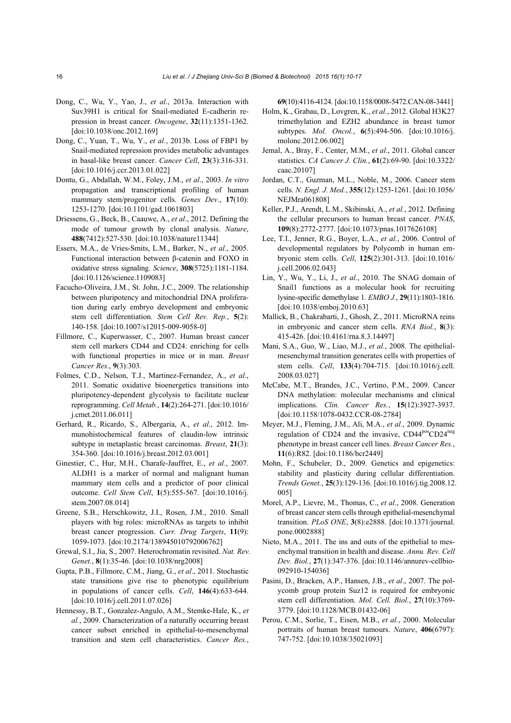- Dong, C., Wu, Y., Yao, J., *et al*., 2013a. Interaction with Suv39H1 is critical for Snail-mediated E-cadherin repression in breast cancer. *Oncogene*, **32**(11):1351-1362. [doi:10.1038/onc.2012.169]
- Dong, C., Yuan, T., Wu, Y., *et al.*, 2013b. Loss of FBP1 by Snail-mediated repression provides metabolic advantages in basal-like breast cancer. *Cancer Cell*, **23**(3):316-331. [doi:10.1016/j.ccr.2013.01.022]
- Dontu, G., Abdallah, W.M., Foley, J.M., *et al*., 2003. *In vitro* propagation and transcriptional profiling of human mammary stem/progenitor cells. *Genes Dev.*, **17**(10): 1253-1270. [doi:10.1101/gad.1061803]
- Driessens, G., Beck, B., Caauwe, A., *et al*., 2012. Defining the mode of tumour growth by clonal analysis. *Nature*, **488**(7412):527-530. [doi:10.1038/nature11344]
- Essers, M.A., de Vries-Smits, L.M., Barker, N., *et al*., 2005. Functional interaction between β-catenin and FOXO in oxidative stress signaling. *Science*, **308**(5725):1181-1184. [doi:10.1126/science.1109083]
- Facucho-Oliveira, J.M., St. John, J.C., 2009. The relationship between pluripotency and mitochondrial DNA proliferation during early embryo development and embryonic stem cell differentiation. *Stem Cell Rev. Rep.*, **5**(2): 140-158. [doi:10.1007/s12015-009-9058-0]
- Fillmore, C., Kuperwasser, C., 2007. Human breast cancer stem cell markers CD44 and CD24: enriching for cells with functional properties in mice or in man. *Breast Cancer Res*., **9**(3):303.
- Folmes, C.D., Nelson, T.J., Martinez-Fernandez, A., *et al*., 2011. Somatic oxidative bioenergetics transitions into pluripotency-dependent glycolysis to facilitate nuclear reprogramming. *Cell Metab.*, **14**(2):264-271. [doi:10.1016/ j.cmet.2011.06.011]
- Gerhard, R., Ricardo, S., Albergaria, A., *et al*., 2012. Immunohistochemical features of claudin-low intrinsic subtype in metaplastic breast carcinomas. *Breast*, **21**(3): 354-360. [doi:10.1016/j.breast.2012.03.001]
- Ginestier, C., Hur, M.H., Charafe-Jauffret, E., *et al.*, 2007. ALDH1 is a marker of normal and malignant human mammary stem cells and a predictor of poor clinical outcome. *Cell Stem Cell*, **1**(5):555-567. [doi:10.1016/j. stem.2007.08.014]
- Greene, S.B., Herschkowitz, J.I., Rosen, J.M., 2010. Small players with big roles: microRNAs as targets to inhibit breast cancer progression. *Curr. Drug Targets*, **11**(9): 1059-1073. [doi:10.2174/138945010792006762]
- Grewal, S.I., Jia, S., 2007. Heterochromatin revisited. *Nat. Rev. Genet.*, **8**(1):35-46. [doi:10.1038/nrg2008]
- Gupta, P.B., Fillmore, C.M., Jiang, G., *et al*., 2011. Stochastic state transitions give rise to phenotypic equilibrium in populations of cancer cells. *Cell*, **146**(4):633-644. [doi:10.1016/j.cell.2011.07.026]
- Hennessy, B.T., Gonzalez-Angulo, A.M., Stemke-Hale, K., *et al.*, 2009. Characterization of a naturally occurring breast cancer subset enriched in epithelial-to-mesenchymal transition and stem cell characteristics. *Cancer Res.*,

**69**(10):4116-4124. [doi:10.1158/0008-5472.CAN-08-3441]

- Holm, K., Grabau, D., Lovgren, K., *et al.*, 2012. Global H3K27 trimethylation and EZH2 abundance in breast tumor subtypes. *Mol. Oncol.*, **6**(5):494-506. [doi:10.1016/j. molonc.2012.06.002]
- Jemal, A., Bray, F., Center, M.M., *et al*., 2011. Global cancer statistics. *CA Cancer J. Clin.*, **61**(2):69-90. [doi:10.3322/ caac.20107]
- Jordan, C.T., Guzman, M.L., Noble, M., 2006. Cancer stem cells. *N. Engl. J. Med.*, **355**(12):1253-1261. [doi:10.1056/ NEJMra061808]
- Keller, P.J., Arendt, L.M., Skibinski, A., *et al.*, 2012. Defining the cellular precursors to human breast cancer. *PNAS*, **109**(8):2772-2777. [doi:10.1073/pnas.1017626108]
- Lee, T.I., Jenner, R.G., Boyer, L.A., *et al.*, 2006. Control of developmental regulators by Polycomb in human embryonic stem cells. *Cell*, **125**(2):301-313. [doi:10.1016/ j.cell.2006.02.043]
- Lin, Y., Wu, Y., Li, J., *et al*., 2010. The SNAG domain of Snail1 functions as a molecular hook for recruiting lysine-specific demethylase 1. *EMBO J.*, **29**(11):1803-1816. [doi:10.1038/emboj.2010.63]
- Mallick, B., Chakrabarti, J., Ghosh, Z., 2011. MicroRNA reins in embryonic and cancer stem cells. *RNA Biol.*, **8**(3): 415-426. [doi:10.4161/rna.8.3.14497]
- Mani, S.A., Guo, W., Liao, M.J., *et al.*, 2008. The epithelialmesenchymal transition generates cells with properties of stem cells. *Cell*, **133**(4):704-715. [doi:10.1016/j.cell. 2008.03.027]
- McCabe, M.T., Brandes, J.C., Vertino, P.M., 2009. Cancer DNA methylation: molecular mechanisms and clinical implications. *Clin. Cancer Res.*, **15**(12):3927-3937. [doi:10.1158/1078-0432.CCR-08-2784]
- Meyer, M.J., Fleming, J.M., Ali, M.A., *et al*., 2009. Dynamic regulation of CD24 and the invasive, CD44<sup>pos</sup>CD24<sup>neg</sup> phenotype in breast cancer cell lines. *Breast Cancer Res.*, **11**(6):R82. [doi:10.1186/bcr2449]
- Mohn, F., Schubeler, D., 2009. Genetics and epigenetics: stability and plasticity during cellular differentiation. *Trends Genet.*, **25**(3):129-136. [doi:10.1016/j.tig.2008.12. 005]
- Morel, A.P., Lievre, M., Thomas, C., *et al*., 2008. Generation of breast cancer stem cells through epithelial-mesenchymal transition. *PLoS ONE*, **3**(8):e2888. [doi:10.1371/journal. pone.0002888]
- Nieto, M.A., 2011. The ins and outs of the epithelial to mesenchymal transition in health and disease. *Annu. Rev. Cell Dev. Biol.*, **27**(1):347-376. [doi:10.1146/annurev-cellbio-092910-154036]
- Pasini, D., Bracken, A.P., Hansen, J.B., *et al*., 2007. The polycomb group protein Suz12 is required for embryonic stem cell differentiation. *Mol. Cell. Biol.*, **27**(10):3769- 3779. [doi:10.1128/MCB.01432-06]
- Perou, C.M., Sorlie, T., Eisen, M.B., *et al.*, 2000. Molecular portraits of human breast tumours. *Nature*, **406**(6797): 747-752. [doi:10.1038/35021093]